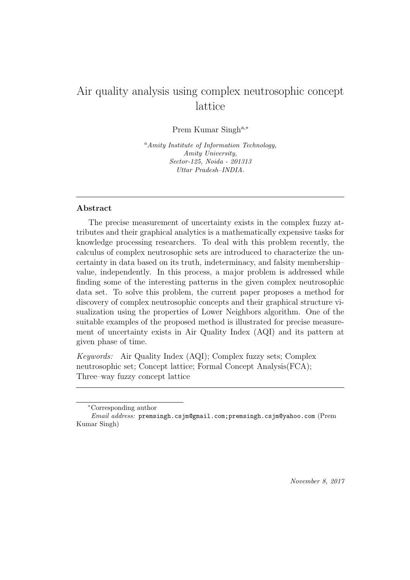# Air quality analysis using complex neutrosophic concept lattice

Prem Kumar Singha,<sup>∗</sup>

<sup>a</sup>*Amity Institute of Information Technology, Amity University, Sector-125, Noida - 201313 Uttar Pradesh–INDIA.*

## Abstract

The precise measurement of uncertainty exists in the complex fuzzy attributes and their graphical analytics is a mathematically expensive tasks for knowledge processing researchers. To deal with this problem recently, the calculus of complex neutrosophic sets are introduced to characterize the uncertainty in data based on its truth, indeterminacy, and falsity membership– value, independently. In this process, a major problem is addressed while finding some of the interesting patterns in the given complex neutrosophic data set. To solve this problem, the current paper proposes a method for discovery of complex neutrosophic concepts and their graphical structure visualization using the properties of Lower Neighbors algorithm. One of the suitable examples of the proposed method is illustrated for precise measurement of uncertainty exists in Air Quality Index (AQI) and its pattern at given phase of time.

Keywords: Air Quality Index (AQI); Complex fuzzy sets; Complex neutrosophic set; Concept lattice; Formal Concept Analysis(FCA); Three–way fuzzy concept lattice

*November 8, 2017*

<sup>∗</sup>Corresponding author

*Email address:* premsingh.csjm@gmail.com;premsingh.csjm@yahoo.com (Prem Kumar Singh)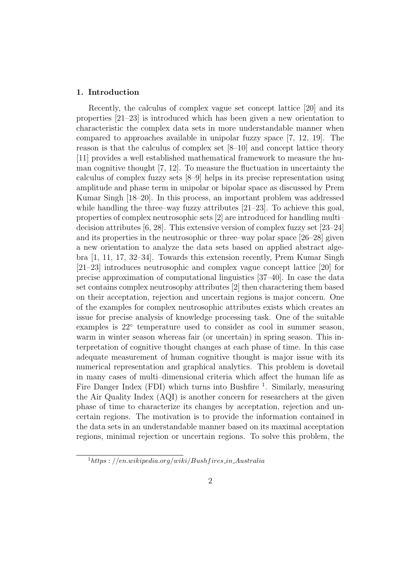## 1. Introduction

Recently, the calculus of complex vague set concept lattice [20] and its properties [21–23] is introduced which has been given a new orientation to characteristic the complex data sets in more understandable manner when compared to approaches available in unipolar fuzzy space [7, 12, 19]. The reason is that the calculus of complex set [8–10] and concept lattice theory [11] provides a well established mathematical framework to measure the human cognitive thought [7, 12]. To measure the fluctuation in uncertainty the calculus of complex fuzzy sets [8–9] helps in its precise representation using amplitude and phase term in unipolar or bipolar space as discussed by Prem Kumar Singh [18–20]. In this process, an important problem was addressed while handling the three–way fuzzy attributes  $[21-23]$ . To achieve this goal, properties of complex neutrosophic sets [2] are introduced for handling multi– decision attributes  $[6, 28]$ . This extensive version of complex fuzzy set  $[23-24]$ and its properties in the neutrosophic or three–way polar space [26–28] given a new orientation to analyze the data sets based on applied abstract algebra [1, 11, 17, 32–34]. Towards this extension recently, Prem Kumar Singh [21–23] introduces neutrosophic and complex vague concept lattice [20] for precise approximation of computational linguistics [37–40]. In case the data set contains complex neutrosophy attributes [2] then charactering them based on their acceptation, rejection and uncertain regions is major concern. One of the examples for complex neutrosophic attributes exists which creates an issue for precise analysis of knowledge processing task. One of the suitable examples is 22° temperature used to consider as cool in summer season, warm in winter season whereas fair (or uncertain) in spring season. This interpretation of cognitive thought changes at each phase of time. In this case adequate measurement of human cognitive thought is major issue with its numerical representation and graphical analytics. This problem is dovetail in many cases of multi–dimensional criteria which affect the human life as Fire Danger Index (FDI) which turns into Bushfire <sup>1</sup>. Similarly, measuring the Air Quality Index (AQI) is another concern for researchers at the given phase of time to characterize its changes by acceptation, rejection and uncertain regions. The motivation is to provide the information contained in the data sets in an understandable manner based on its maximal acceptation regions, minimal rejection or uncertain regions. To solve this problem, the

 $1$ https : //en.wikipedia.org/wiki/Bushfires\_in\_Australia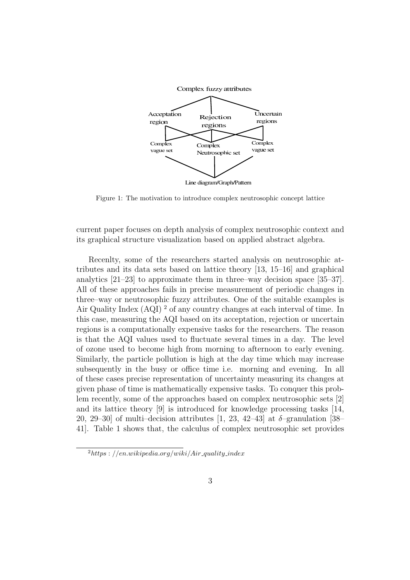

Figure 1: The motivation to introduce complex neutrosophic concept lattice

current paper focuses on depth analysis of complex neutrosophic context and its graphical structure visualization based on applied abstract algebra.

Recenlty, some of the researchers started analysis on neutrosophic attributes and its data sets based on lattice theory [13, 15–16] and graphical analytics [21–23] to approximate them in three–way decision space [35–37]. All of these approaches fails in precise measurement of periodic changes in three–way or neutrosophic fuzzy attributes. One of the suitable examples is Air Quality Index (AQI) <sup>2</sup> of any country changes at each interval of time. In this case, measuring the AQI based on its acceptation, rejection or uncertain regions is a computationally expensive tasks for the researchers. The reason is that the AQI values used to fluctuate several times in a day. The level of ozone used to become high from morning to afternoon to early evening. Similarly, the particle pollution is high at the day time which may increase subsequently in the busy or office time i.e. morning and evening. In all of these cases precise representation of uncertainty measuring its changes at given phase of time is mathematically expensive tasks. To conquer this problem recently, some of the approaches based on complex neutrosophic sets [2] and its lattice theory [9] is introduced for knowledge processing tasks [14, 20, 29–30 of multi-decision attributes  $[1, 23, 42-43]$  at  $\delta$ -granulation  $[38-$ 41]. Table 1 shows that, the calculus of complex neutrosophic set provides

 $^{2}$ https : //en.wikipedia.org/wiki/Air\_quality\_index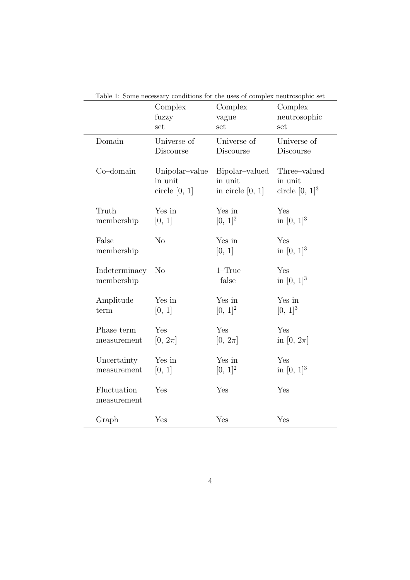|                             | Complex<br>fuzzy<br>set                      | Complex<br>vague<br>set                         | Complex<br>neutrosophic<br>set               |
|-----------------------------|----------------------------------------------|-------------------------------------------------|----------------------------------------------|
| Domain                      | Universe of<br>Discourse                     | Universe of<br>Discourse                        | Universe of<br>Discourse                     |
| $Co$ -domain                | Unipolar-value<br>in unit<br>circle $[0, 1]$ | Bipolar-valued<br>in unit<br>in circle $[0, 1]$ | Three-valued<br>in unit<br>circle $[0, 1]^3$ |
| Truth<br>membership         | Yes in<br>[0, 1]                             | Yes in<br>$[0, 1]^2$                            | Yes<br>in $[0, 1]^3$                         |
| False<br>membership         | N <sub>o</sub>                               | Yes in<br>[0, 1]                                | Yes<br>in $[0, 1]^3$                         |
| Indeterminacy<br>membership | N <sub>o</sub>                               | $1-True$<br>$-false$                            | Yes<br>in $[0, 1]^3$                         |
| Amplitude<br>term           | Yes in<br>[0, 1]                             | Yes in<br>$[0, 1]^2$                            | Yes in<br>$[0, 1]^{3}$                       |
| Phase term<br>measurement   | Yes<br>$[0, 2\pi]$                           | Yes<br>$[0, 2\pi]$                              | Yes<br>in [0, $2\pi$ ]                       |
| Uncertainty<br>measurement  | Yes in<br>[0, 1]                             | Yes in<br>$[0, 1]^2$                            | Yes<br>in $[0, 1]$ <sup>3</sup>              |
| Fluctuation<br>measurement  | Yes                                          | Yes                                             | Yes                                          |
| Graph                       | Yes                                          | Yes                                             | Yes                                          |

Table 1: Some necessary conditions for the uses of complex neutrosophic set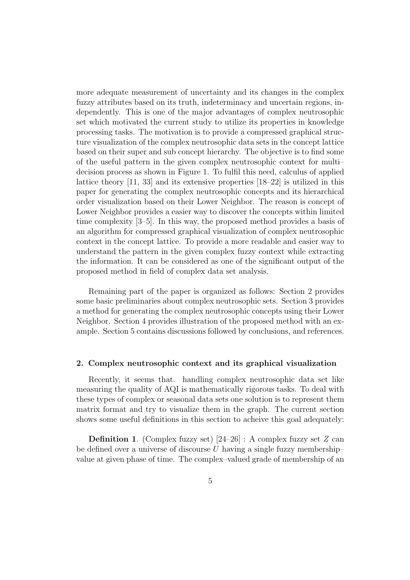more adequate measurement of uncertainty and its changes in the complex fuzzy attributes based on its truth, indeterminacy and uncertain regions, independently. This is one of the major advantages of complex neutrosophic set which motivated the current study to utilize its properties in knowledge processing tasks. The motivation is to provide a compressed graphical structure visualization of the complex neutrosophic data sets in the concept lattice based on their super and sub concept hierarchy. The objective is to find some of the useful pattern in the given complex neutrosophic context for multi– decision process as shown in Figure 1. To fulfil this need, calculus of applied lattice theory [11, 33] and its extensive properties [18–22] is utilized in this paper for generating the complex neutrosophic concepts and its hierarchical order visualization based on their Lower Neighbor. The reason is concept of Lower Neighbor provides a easier way to discover the concepts within limited time complexity [3–5]. In this way, the proposed method provides a basis of an algorithm for compressed graphical visualization of complex neutrosophic context in the concept lattice. To provide a more readable and easier way to understand the pattern in the given complex fuzzy context while extracting the information. It can be considered as one of the significant output of the proposed method in field of complex data set analysis.

Remaining part of the paper is organized as follows: Section 2 provides some basic preliminaries about complex neutrosophic sets. Section 3 provides a method for generating the complex neutrosophic concepts using their Lower Neighbor. Section 4 provides illustration of the proposed method with an example. Section 5 contains discussions followed by conclusions, and references.

#### 2. Complex neutrosophic context and its graphical visualization

Recently, it seems that. handling complex neutrosophic data set like measuring the quality of AQI is mathematically rigorous tasks. To deal with these types of complex or seasonal data sets one solution is to represent them matrix format and try to visualize them in the graph. The current section shows some useful definitions in this section to acheive this goal adequately:

**Definition 1.** (Complex fuzzy set)  $[24-26]$  : A complex fuzzy set Z can be defined over a universe of discourse  $U$  having a single fuzzy membershipvalue at given phase of time. The complex–valued grade of membership of an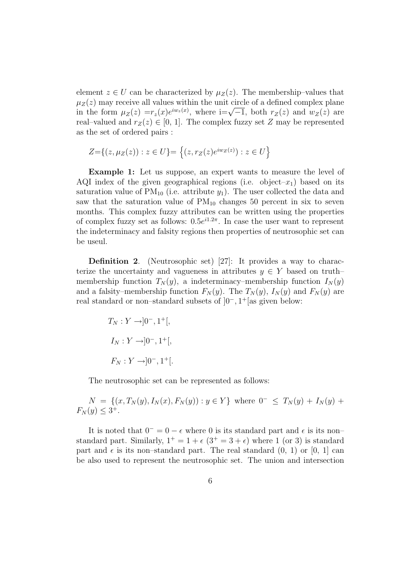element  $z \in U$  can be characterized by  $\mu_Z(z)$ . The membership–values that  $\mu_Z(z)$  may receive all values within the unit circle of a defined complex plane in the form  $\mu_Z(z) = r_z(x)e^{iw_z(x)}$ , where i=√–1, both  $r_Z(z)$  and  $w_Z(z)$  are real–valued and  $r_Z(z) \in [0, 1]$ . The complex fuzzy set Z may be represented as the set of ordered pairs :

$$
Z = \{(z, \mu_Z(z)) : z \in U\} = \{(z, r_Z(z)e^{iw_Z(z)}) : z \in U\}
$$

Example 1: Let us suppose, an expert wants to measure the level of AQI index of the given geographical regions (i.e. object– $x_1$ ) based on its saturation value of  $PM_{10}$  (i.e. attribute  $y_1$ ). The user collected the data and saw that the saturation value of  $PM_{10}$  changes 50 percent in six to seven months. This complex fuzzy attributes can be written using the properties of complex fuzzy set as follows:  $0.5e^{i1.2\pi}$ . In case the user want to represent the indeterminacy and falsity regions then properties of neutrosophic set can be useul.

Definition 2. (Neutrosophic set) [27]: It provides a way to characterize the uncertainty and vagueness in attributes  $y \in Y$  based on truth– membership function  $T_N(y)$ , a indeterminacy–membership function  $I_N(y)$ and a falsity–membership function  $F_N(y)$ . The  $T_N(y)$ ,  $I_N(y)$  and  $F_N(y)$  are real standard or non–standard subsets of ]0<sup>−</sup>, 1 <sup>+</sup>[as given below:

$$
T_N: Y \rightarrow ]0^-, 1^+[,
$$
  
\n
$$
I_N: Y \rightarrow ]0^-, 1^+[,
$$
  
\n
$$
F_N: Y \rightarrow ]0^-, 1^+[.
$$

The neutrosophic set can be represented as follows:

$$
N = \{(x, T_N(y), I_N(x), F_N(y)) : y \in Y\} \text{ where } 0^- \le T_N(y) + I_N(y) + F_N(y) \le 3^+.
$$

It is noted that  $0^- = 0 - \epsilon$  where 0 is its standard part and  $\epsilon$  is its non– standard part. Similarly,  $1^+ = 1 + \epsilon (3^+ = 3 + \epsilon)$  where 1 (or 3) is standard part and  $\epsilon$  is its non–standard part. The real standard  $(0, 1)$  or  $[0, 1]$  can be also used to represent the neutrosophic set. The union and intersection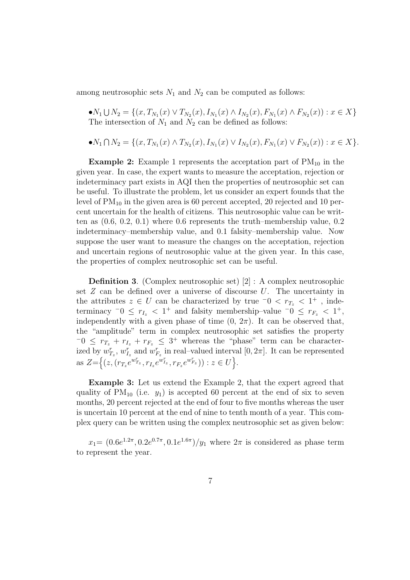among neutrosophic sets  $N_1$  and  $N_2$  can be computed as follows:

 $\bullet N_1 \cup N_2 = \{(x, T_{N_1}(x) \vee T_{N_2}(x), I_{N_1}(x) \wedge I_{N_2}(x), F_{N_1}(x) \wedge F_{N_2}(x)) : x \in X\}$ The intersection of  $N_1$  and  $N_2$  can be defined as follows:

$$
\bullet N_1 \cap N_2 = \{ (x, T_{N_1}(x) \land T_{N_2}(x), I_{N_1}(x) \lor I_{N_2}(x), F_{N_1}(x) \lor F_{N_2}(x)) : x \in X \}.
$$

**Example 2:** Example 1 represents the acceptation part of  $PM_{10}$  in the given year. In case, the expert wants to measure the acceptation, rejection or indeterminacy part exists in AQI then the properties of neutrosophic set can be useful. To illustrate the problem, let us consider an expert founds that the level of  $PM_{10}$  in the given area is 60 percent accepted, 20 rejected and 10 percent uncertain for the health of citizens. This neutrosophic value can be written as (0.6, 0.2, 0.1) where 0.6 represents the truth–membership value, 0.2 indeterminacy–membership value, and 0.1 falsity–membership value. Now suppose the user want to measure the changes on the acceptation, rejection and uncertain regions of neutrosophic value at the given year. In this case, the properties of complex neutrosophic set can be useful.

Definition 3. (Complex neutrosophic set) [2] : A complex neutrosophic set  $Z$  can be defined over a universe of discourse  $U$ . The uncertainty in the attributes  $z \in U$  can be characterized by true  $\overline{0} \leq r_{T_z} \leq 1^+$ , indeterminacy  $^-0 \leq r_{I_z} < 1^+$  and falsity membership–value  $^-0 \leq r_{F_z} < 1^+$ , independently with a given phase of time  $(0, 2\pi)$ . It can be observed that, the "amplitude" term in complex neutrosophic set satisfies the property  $-0 \leq r_{T_z} + r_{I_z} + r_{F_z} \leq 3^+$  whereas the "phase" term can be characterized by  $w_{T_z}^r$ ,  $w_{I_z}^r$  and  $w_{F_z}^r$  in real-valued interval  $[0, 2\pi]$ . It can be represented as  $Z=\{(z,(r_{T_z}e^{w_{T_z}^r},r_{I_z}e^{w_{I_z}^r},r_{F_z}e^{w_{F_z}^r})) : z \in U\}.$ 

Example 3: Let us extend the Example 2, that the expert agreed that quality of  $PM_{10}$  (i.e.  $y_1$ ) is accepted 60 percent at the end of six to seven months, 20 percent rejected at the end of four to five months whereas the user is uncertain 10 percent at the end of nine to tenth month of a year. This complex query can be written using the complex neutrosophic set as given below:

 $x_1 = (0.6e^{1.2\pi}, 0.2e^{0.7\pi}, 0.1e^{1.6\pi})/y_1$  where  $2\pi$  is considered as phase term to represent the year.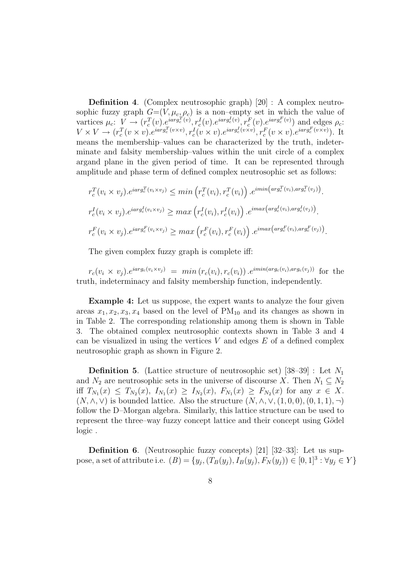Definition 4. (Complex neutrosophic graph) [20] : A complex neutrosophic fuzzy graph  $G=(V, \mu_c, \rho_c)$  is a non-empty set in which the value of vartices  $\mu_c: V \to (r_c^T(v), e^{iarg_c^T(v)}, r_c^I(v), e^{iarg_c^I(v)}, r_c^F(v), e^{iarg_c^F(v)})$  and edges  $\rho_c$ :  $V \times V \longrightarrow (r_c^T(v \times v), e^{iarg_c^T(v \times v)}, r_c^I(v \times v), e^{iarg_c^I(v \times v)}, r_c^F(v \times v), e^{iarg_c^F(v \times v)}).$  It means the membership–values can be characterized by the truth, indeterminate and falsity membership–values within the unit circle of a complex argand plane in the given period of time. It can be represented through amplitude and phase term of defined complex neutrosophic set as follows:

$$
r_c^T(v_i \times v_j).e^{iarg_c^T(v_i \times v_j)} \leq \min\left(r_c^T(v_i), r_c^T(v_i)\right).e^{i\min\left(\arg_c^T(v_i), \arg_c^T(v_j)\right)}.
$$
  

$$
r_c^I(v_i \times v_j).e^{iarg_c^I(v_i \times v_j)} \geq \max\left(r_c^I(v_i), r_c^I(v_i)\right).e^{i\max\left(\arg_c^I(v_i), \arg_c^I(v_j)\right)}.
$$
  

$$
r_c^F(v_i \times v_j).e^{iarg_c^F(v_i \times v_j)} \geq \max\left(r_c^F(v_i), r_c^F(v_i)\right).e^{i\max\left(\arg_c^F(v_i), \arg_c^F(v_j)\right)}.
$$

The given complex fuzzy graph is complete iff:

 $r_c(v_i \times v_j) \cdot e^{iarg_c(v_i \times v_j)} = min(r_c(v_i), r_c(v_i)) \cdot e^{imin(arg_c(v_i), arg_c(v_j))}$  for the truth, indeterminacy and falsity membership function, independently.

Example 4: Let us suppose, the expert wants to analyze the four given areas  $x_1, x_2, x_3, x_4$  based on the level of  $PM_{10}$  and its changes as shown in in Table 2. The corresponding relationship among them is shown in Table 3. The obtained complex neutrosophic contexts shown in Table 3 and 4 can be visualized in using the vertices  $V$  and edges  $E$  of a defined complex neutrosophic graph as shown in Figure 2.

**Definition 5.** (Lattice structure of neutrosophic set)  $[38-39]$ : Let  $N_1$ and  $N_2$  are neutrosophic sets in the universe of discourse X. Then  $N_1 \subseteq N_2$ iff  $T_{N_1}(x) \leq T_{N_2}(x)$ ,  $I_{N_1}(x) \geq I_{N_2}(x)$ ,  $F_{N_1}(x) \geq F_{N_2}(x)$  for any  $x \in X$ .  $(N, \wedge, \vee)$  is bounded lattice. Also the structure  $(N, \wedge, \vee, (1, 0, 0), (0, 1, 1), \neg)$ follow the D–Morgan algebra. Similarly, this lattice structure can be used to represent the three–way fuzzy concept lattice and their concept using Gödel logic .

Definition 6. (Neutrosophic fuzzy concepts) [21] [32–33]: Let us suppose, a set of attribute i.e.  $(B) = \{y_j, (T_B(y_j), I_B(y_j), F_N(y_j)) \in [0, 1]^3 : \forall y_j \in Y\}$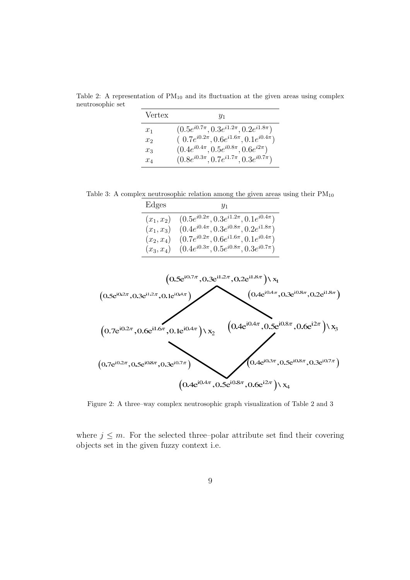Table 2: A representation of  $PM_{10}$  and its fluctuation at the given areas using complex neutrosophic set

| Vertex | $y_1$                                              |
|--------|----------------------------------------------------|
| $x_1$  | $(0.5e^{i0.7\pi}, 0.3e^{i1.2\pi}, 0.2e^{i1.8\pi})$ |
| $x_2$  | $(0.7e^{i0.2\pi}, 0.6e^{i1.6\pi}, 0.1e^{i0.4\pi})$ |
| $x_3$  | $(0.4e^{i0.4\pi}, 0.5e^{i0.8\pi}, 0.6e^{i2\pi})$   |
| $x_4$  | $(0.8e^{i0.3\pi}, 0.7e^{i1.7\pi}, 0.3e^{i0.7\pi})$ |

Table 3: A complex neutrosophic relation among the given areas using their  $PM_{10}$ 

| Edges        | Y1                                                              |
|--------------|-----------------------------------------------------------------|
|              | $(x_1, x_2)$ $(0.5e^{i0.2\pi}, 0.3e^{i1.2\pi}, 0.1e^{i0.4\pi})$ |
| $(x_1, x_3)$ | $(0.4e^{i0.4\pi}, 0.3e^{i0.8\pi}, 0.2e^{i1.8\pi})$              |
| $(x_2, x_4)$ | $(0.7e^{i0.2\pi}, 0.6e^{i1.6\pi}, 0.1e^{i0.4\pi})$              |
| $(x_3, x_4)$ | $(0.4e^{i0.3\pi}, 0.5e^{i0.8\pi}, 0.3e^{i0.7\pi})$              |



Figure 2: A three–way complex neutrosophic graph visualization of Table 2 and 3

where  $j \leq m$ . For the selected three–polar attribute set find their covering objects set in the given fuzzy context i.e.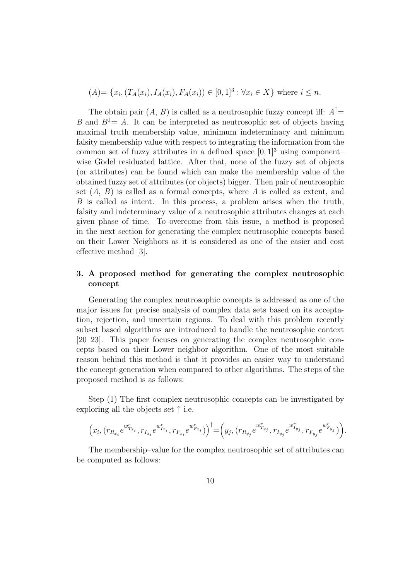$(A) = \{x_i, (T_A(x_i), I_A(x_i), F_A(x_i)) \in [0, 1]^3 : \forall x_i \in X\}$  where  $i \leq n$ .

The obtain pair  $(A, B)$  is called as a neutrosophic fuzzy concept iff:  $A^{\dagger} =$ B and  $B^{\downarrow} = A$ . It can be interpreted as neutrosophic set of objects having maximal truth membership value, minimum indeterminacy and minimum falsity membership value with respect to integrating the information from the common set of fuzzy attributes in a defined space  $[0, 1]^3$  using component– wise Godel residuated lattice. After that, none of the fuzzy set of objects (or attributes) can be found which can make the membership value of the obtained fuzzy set of attributes (or objects) bigger. Then pair of neutrosophic set  $(A, B)$  is called as a formal concepts, where A is called as extent, and B is called as intent. In this process, a problem arises when the truth, falsity and indeterminacy value of a neutrosophic attributes changes at each given phase of time. To overcome from this issue, a method is proposed in the next section for generating the complex neutrosophic concepts based on their Lower Neighbors as it is considered as one of the easier and cost effective method [3].

## 3. A proposed method for generating the complex neutrosophic concept

Generating the complex neutrosophic concepts is addressed as one of the major issues for precise analysis of complex data sets based on its acceptation, rejection, and uncertain regions. To deal with this problem recently subset based algorithms are introduced to handle the neutrosophic context [20–23]. This paper focuses on generating the complex neutrosophic concepts based on their Lower neighbor algorithm. One of the most suitable reason behind this method is that it provides an easier way to understand the concept generation when compared to other algorithms. The steps of the proposed method is as follows:

Step (1) The first complex neutrosophic concepts can be investigated by exploring all the objects set  $\uparrow$  i.e.

$$
\Big(x_i,(r_{R_{x_i}}e^{w_{T_{x_i}}^r},r_{I_{x_i}}e^{w_{I_{x_i}}^r},r_{F_{x_i}}e^{w_{F_{x_i}}^r})\Big)^\uparrow=\Big(y_j,(r_{R_{y_j}}e^{w_{T_{y_j}}^r},r_{I_{y_j}}e^{w_{I_{y_j}}^r},r_{F_{y_j}}e^{w_{F_{y_j}}^r})\Big).
$$

The membership–value for the complex neutrosophic set of attributes can be computed as follows: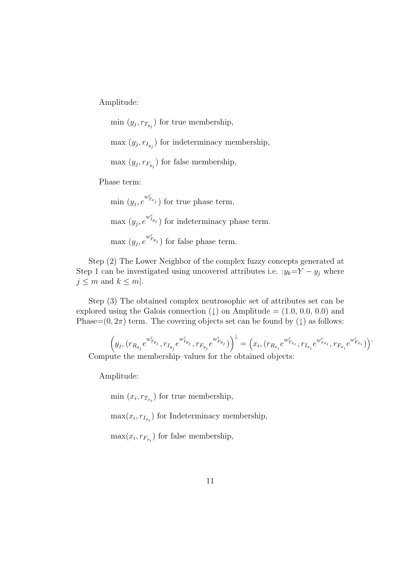Amplitude:

 $\min(y_j, r_{T_{y_j}})$  for true membership,

 $\max(y_j, r_{I_{y_j}})$  for indeterminacy membership,

 $\max(y_j, r_{F_{y_j}})$  for false membership,

Phase term:

min  $(y_j, e^{w_{T_{x_j}}^r})$  for true phase term,  $\max(y_j, e^{w_{I_{y_j}}^r})$  for indeterminacy phase term. max  $(y_j, e^{w_{F_{y_j}}^r})$  for false phase term.

Step (2) The Lower Neighbor of the complex fuzzy concepts generated at Step 1 can be investigated using uncovered attributes i.e.  $:y_k=Y-y_j$  where  $j \leq m$  and  $k \leq m$ .

Step (3) The obtained complex neutrosophic set of attributes set can be explored using the Galois connection  $(1)$  on Amplitude =  $(1.0, 0.0, 0.0)$  and Phase= $(0, 2\pi)$  term. The covering objects set can be found by  $(1)$  as follows:

$$
\left(y_j, (r_{R_{y_j}}e^{w_{T_{y_j}}} , r_{I_{y_j}}e^{w_{I_{y_j}}} , r_{F_{y_j}}e^{w_{F_{y_j}}} )\right)^{\downarrow} = \left(x_i, (r_{R_{x_i}}e^{w_{T_{x_i}}} , r_{I_{x_i}}e^{w_{x_{x_i}}} , r_{F_{x_i}}e^{w_{F_{x_i}}} )\right)^{\cdot}
$$
  
Compute the membership–values for the obtained objects:

Amplitude:

 $\min(x_i, r_{T_{x_i}})$  for true membership,

 $\max(x_i, r_{I_{x_i}})$  for Indeterminacy membership,

 $\max(x_i, r_{F_{x_i}})$  for false membership,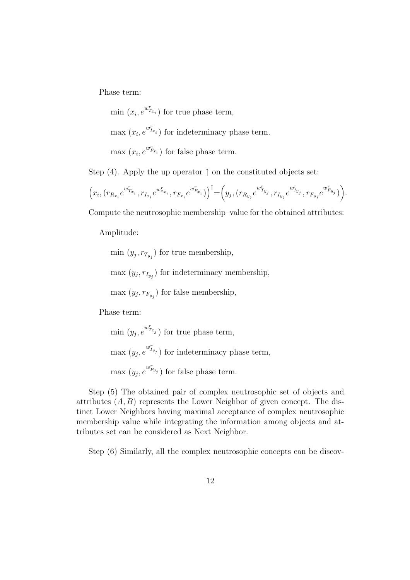Phase term:

min  $(x_i, e^{w_{T_{x_i}}^r})$  for true phase term,

 $\max(x_i, e^{w_{I_{x_i}}^r})$  for indeterminacy phase term.

max  $(x_i, e^{w_{F_{x_i}}^r})$  for false phase term.

Step (4). Apply the up operator  $\uparrow$  on the constituted objects set:

$$
\left(x_i, (r_{R_{x_i}}e^{w_{T_{x_i}}^r}, r_{I_{x_i}}e^{w_{x_{x_i}}^r}, r_{F_{x_i}}e^{w_{F_{x_i}}^r})\right)^{\uparrow} = \left(y_j, (r_{R_{y_j}}e^{w_{T_{y_j}}^r}, r_{I_{y_j}}e^{w_{I_{y_j}}^r}, r_{F_{y_j}}e^{w_{F_{y_j}}^r})\right).
$$

Compute the neutrosophic membership–value for the obtained attributes:

Amplitude:

 $\min(y_j, r_{T_{y_j}})$  for true membership,

 $\max(y_j, r_{I_{y_j}})$  for indeterminacy membership,

 $\max(y_j, r_{F_{y_j}})$  for false membership,

Phase term:

min  $(y_j, e^{w_{T_{x_j}}^r})$  for true phase term,  $\max(y_j, e^{w_{I_{y_j}}^r})$  for indeterminacy phase term, max  $(y_j, e^{w_{F_{y_j}}^r})$  for false phase term.

Step (5) The obtained pair of complex neutrosophic set of objects and attributes  $(A, B)$  represents the Lower Neighbor of given concept. The distinct Lower Neighbors having maximal acceptance of complex neutrosophic membership value while integrating the information among objects and attributes set can be considered as Next Neighbor.

Step (6) Similarly, all the complex neutrosophic concepts can be discov-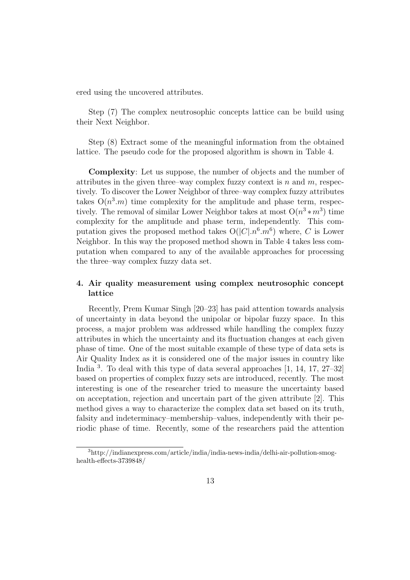ered using the uncovered attributes.

Step (7) The complex neutrosophic concepts lattice can be build using their Next Neighbor.

Step (8) Extract some of the meaningful information from the obtained lattice. The pseudo code for the proposed algorithm is shown in Table 4.

Complexity: Let us suppose, the number of objects and the number of attributes in the given three–way complex fuzzy context is n and  $m$ , respectively. To discover the Lower Neighbor of three–way complex fuzzy attributes takes  $O(n^3 \cdot m)$  time complexity for the amplitude and phase term, respectively. The removal of similar Lower Neighbor takes at most  $O(n^3 * m^3)$  time complexity for the amplitude and phase term, independently. This computation gives the proposed method takes  $O(|C| \cdot n^6 \cdot m^6)$  where, C is Lower Neighbor. In this way the proposed method shown in Table 4 takes less computation when compared to any of the available approaches for processing the three–way complex fuzzy data set.

## 4. Air quality measurement using complex neutrosophic concept lattice

Recently, Prem Kumar Singh [20–23] has paid attention towards analysis of uncertainty in data beyond the unipolar or bipolar fuzzy space. In this process, a major problem was addressed while handling the complex fuzzy attributes in which the uncertainty and its fluctuation changes at each given phase of time. One of the most suitable example of these type of data sets is Air Quality Index as it is considered one of the major issues in country like India <sup>3</sup>. To deal with this type of data several approaches [1, 14, 17, 27–32] based on properties of complex fuzzy sets are introduced, recently. The most interesting is one of the researcher tried to measure the uncertainty based on acceptation, rejection and uncertain part of the given attribute [2]. This method gives a way to characterize the complex data set based on its truth, falsity and indeterminacy–membership–values, independently with their periodic phase of time. Recently, some of the researchers paid the attention

<sup>3</sup>http://indianexpress.com/article/india/india-news-india/delhi-air-pollution-smoghealth-effects-3739848/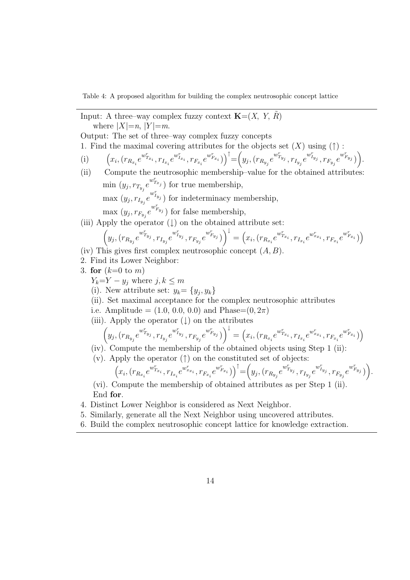Table 4: A proposed algorithm for building the complex neutrosophic concept lattice

Input: A three–way complex fuzzy context  $\mathbf{K}=(X, Y, R)$ where  $|X|=n$ ,  $|Y|=m$ .

Output: The set of three–way complex fuzzy concepts

1. Find the maximal covering attributes for the objects set  $(X)$  using  $(†)$ :

- (i)  $x_i, (r_{R_{x_i}}e^{w_{T_{x_i}}} , r_{I_{x_i}}e^{w_{I_{x_i}}} , r_{F_{x_i}}e^{w_{F_{x_i}}} )\Big)^\uparrow = \Big(y_j, (r_{R_{y_j}}e^{w_{T_{y_j}}} , r_{I_{y_j}}e^{w_{I_{y_j}}} , r_{F_{y_j}}e^{w_{F_{y_j}}} )\Big).$
- (ii) Compute the neutrosophic membership–value for the obtained attributes: min  $(y_j, r_{T_{y_j}}e^{w_{T_{x_j}}^r})$  for true membership,  $\max(y_j, r_{I_{y_j}}e^{w_{I_{y_j}}^r})$  for indeterminacy membership,  $\max(y_j, r_{F_{y_j}}e^{w_{F_{y_j}}^r})$  for false membership,
- (iii) Apply the operator  $(\downarrow)$  on the obtained attribute set:

$$
\left(y_j, (r_{R_{y_j}}e^{w_{T_{y_j}}^r}, r_{I_{y_j}}e^{w_{I_{y_j}}^r}, r_{F_{y_j}}e^{w_{F_{y_j}}^r})\right)^{\downarrow} = \left(x_i, (r_{R_{x_i}}e^{w_{T_{x_i}}^r}, r_{I_{x_i}}e^{w_{x_{x_i}}^r}, r_{F_{x_i}}e^{w_{F_{x_i}}^r})\right)^{\downarrow}
$$

- (iv) This gives first complex neutrosophic concept  $(A, B)$ .
- 2. Find its Lower Neighbor:
- 3. for  $(k=0 \text{ to } m)$ 
	- $Y_k = Y y_j$  where  $j, k \leq m$
	- (i). New attribute set:  $y_k = \{y_j, y_k\}$
	- (ii). Set maximal acceptance for the complex neutrosophic attributes
	- i.e. Amplitude =  $(1.0, 0.0, 0.0)$  and Phase= $(0, 2\pi)$
	- (iii). Apply the operator  $( )$  on the attributes

$$
\left(y_j, (r_{R_{y_j}}e^{w_{T_{y_j}}^r}, r_{I_{y_j}}e^{w_{I_{y_j}}^r}, r_{F_{y_j}}e^{w_{F_{y_j}}^r})\right)^{\downarrow} = \left(x_i, (r_{R_{x_i}}e^{w_{T_{x_i}}^r}, r_{I_{x_i}}e^{w_{x_{x_i}}^r}, r_{F_{x_i}}e^{w_{F_{x_i}}^r})\right)
$$

(iv). Compute the membership of the obtained objects using Step 1 (ii):

(v). Apply the operator  $(†)$  on the constituted set of objects:

$$
\left(x_i, (r_{R_{x_i}}e^{w_{T_{x_i}}^r}, r_{I_{x_i}}e^{w_{x_{x_i}}^r}, r_{F_{x_i}}e^{w_{F_{x_i}}^r})\right)^{\uparrow} = \left(y_j, (r_{R_{y_j}}e^{w_{T_{y_j}}^r}, r_{I_{y_j}}e^{w_{I_{y_j}}^r}, r_{F_{y_j}}e^{w_{F_{y_j}}^r})\right).
$$

(vi). Compute the membership of obtained attributes as per Step 1 (ii). End for.

- 4. Distinct Lower Neighbor is considered as Next Neighbor.
- 5. Similarly, generate all the Next Neighbor using uncovered attributes.
- 6. Build the complex neutrosophic concept lattice for knowledge extraction.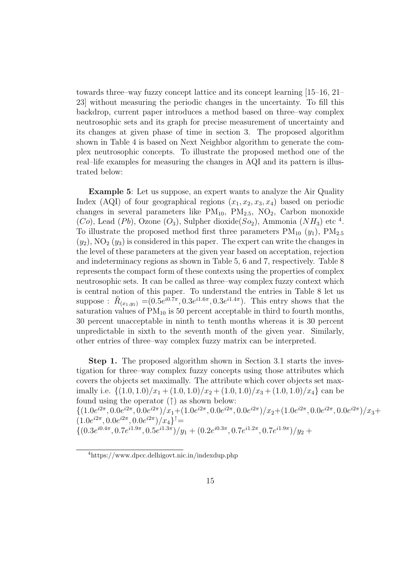towards three–way fuzzy concept lattice and its concept learning [15–16, 21– 23] without measuring the periodic changes in the uncertainty. To fill this backdrop, current paper introduces a method based on three–way complex neutrosophic sets and its graph for precise measurement of uncertainty and its changes at given phase of time in section 3. The proposed algorithm shown in Table 4 is based on Next Neighbor algorithm to generate the complex neutrosophic concepts. To illustrate the proposed method one of the real–life examples for measuring the changes in AQI and its pattern is illustrated below:

Example 5: Let us suppose, an expert wants to analyze the Air Quality Index (AQI) of four geographical regions  $(x_1, x_2, x_3, x_4)$  based on periodic changes in several parameters like  $PM_{10}$ ,  $PM_{2.5}$ ,  $NO_2$ , Carbon monoxide  $(Co)$ , Lead  $(Pb)$ , Ozone  $(O_3)$ , Sulpher dioxide( $So_2$ ), Ammonia  $(NH_3)$  etc <sup>4</sup>. To illustrate the proposed method first three parameters  $PM_{10}$  ( $y_1$ ),  $PM_{2.5}$  $(y_2)$ , NO<sub>2</sub>  $(y_3)$  is considered in this paper. The expert can write the changes in the level of these parameters at the given year based on acceptation, rejection and indeterminacy regions as shown in Table 5, 6 and 7, respectively. Table 8 represents the compact form of these contexts using the properties of complex neutrosophic sets. It can be called as three–way complex fuzzy context which is central notion of this paper. To understand the entries in Table 8 let us suppose:  $\tilde{R}_{(x_1,y_1)} = (0.5e^{i0.7\pi}, 0.3e^{i1.6\pi}, 0.3e^{i1.4\pi})$ . This entry shows that the saturation values of  $PM_{10}$  is 50 percent acceptable in third to fourth months, 30 percent unacceptable in ninth to tenth months whereas it is 30 percent unpredictable in sixth to the seventh month of the given year. Similarly, other entries of three–way complex fuzzy matrix can be interpreted.

Step 1. The proposed algorithm shown in Section 3.1 starts the investigation for three–way complex fuzzy concepts using those attributes which covers the objects set maximally. The attribute which cover objects set maximally i.e.  $\{(1.0, 1.0)/x_1 + (1.0, 1.0)/x_2 + (1.0, 1.0)/x_3 + (1.0, 1.0)/x_4\}$  can be found using the operator  $(†)$  as shown below:  $\{(1.0e^{i2\pi}, 0.0e^{i2\pi}, 0.0e^{i2\pi})/x_1 + (1.0e^{i2\pi}, 0.0e^{i2\pi}, 0.0e^{i2\pi})/x_2 + (1.0e^{i2\pi}, 0.0e^{i2\pi}, 0.0e^{i2\pi})/x_3 +$  $(1.0e^{i2\pi}, 0.0e^{i2\pi}, 0.0e^{i2\pi})/x_4$ <sup>†</sup>=  $\{(0.3e^{i0.4\pi}, 0.7e^{i1.9\pi}, 0.5e^{i1.3\pi})/y_1 + (0.2e^{i0.3\pi}, 0.7e^{i1.2\pi}, 0.7e^{i1.9\pi})/y_2 +$ 

<sup>4</sup>https://www.dpcc.delhigovt.nic.in/indexdup.php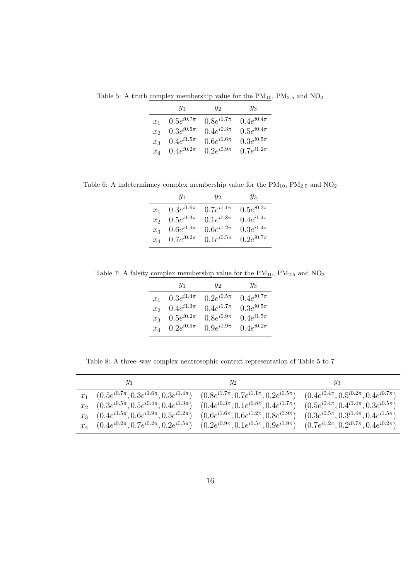Table 5: A truth complex membership value for the  $\rm PM_{10},\,PM_{2.5}$  and  $\rm NO_{2}$ 

|       | $y_1$                   | $y_{2}$           | $y_3$            |
|-------|-------------------------|-------------------|------------------|
| $x_1$ | $0.5e^{i0.7\pi}$        | $0.8e^{i1.7\pi}$  | $0.4e^{i0.4\pi}$ |
| $x_2$ | $0.3e^{i0.5\pi}$        | 0.4 $e^{i0.3\pi}$ | $0.5e^{i0.4\pi}$ |
|       | $x_3$ 0.4 $e^{i1.5\pi}$ | $0.6e^{i1.6\pi}$  | $0.3e^{i0.5\pi}$ |
|       | $x_4$ 0.4 $e^{i0.2\pi}$ | $0.2e^{i0.9\pi}$  | $0.7e^{i1.2\pi}$ |

Table 6: A indeterminacy complex membership value for the  $\rm PM_{10},\,PM_{2.5}$  and  $\rm NO_{2}$ 

| $0.3e^{i1.6\pi}$<br>$x_1$<br>$0.5e^{i1.3\pi}$<br>$x_2$<br>$0.6e^{i1.9\pi}$<br>$x_3$ | $0.7e^{i1.1\pi}$<br>$0.1e^{i0.8\pi}$ | $0.5e^{i0.2\pi}$<br>$0.4e^{i1.4\pi}$ |
|-------------------------------------------------------------------------------------|--------------------------------------|--------------------------------------|
|                                                                                     |                                      |                                      |
|                                                                                     |                                      |                                      |
|                                                                                     | $0.6e^{i1.2\pi}$                     | $0.3e^{i1.4\pi}$                     |
| $0.7e^{i0.2\pi}$<br>$x_4$                                                           | $0.1e^{i0.5\pi}$                     | $0.2e^{i0.7\pi}$                     |

Table 7: A falsity complex membership value for the  $\mathrm{PM}_{10},\,\mathrm{PM}_{2.5}$  and  $\mathrm{NO}_2$ 

|       | $y_1$                   | $y_{2}$          | $y_3$            |
|-------|-------------------------|------------------|------------------|
| $x_1$ | $0.3e^{i1.4\pi}$        | $0.2e^{i0.5\pi}$ | $0.4e^{i0.7\pi}$ |
| $x_2$ | $0.4e^{i1.3\pi}$        | $0.4e^{i1.7\pi}$ | $0.3e^{i0.5\pi}$ |
| $x_3$ | $0.5e^{i0.2\pi}$        | $0.8e^{i0.9\pi}$ | $0.4e^{i1.5\pi}$ |
|       | $x_4$ 0.2 $e^{i0.5\pi}$ | $0.9e^{i1.9\pi}$ | $0.4e^{i0.2\pi}$ |

Table 8: A three–way complex neutrosophic context representation of Table 5 to 7

| Y1                                                                                                                                                            | $y_2$ | Y3                                                |
|---------------------------------------------------------------------------------------------------------------------------------------------------------------|-------|---------------------------------------------------|
| $x_1$ $(0.5e^{i0.7\pi}, 0.3e^{i1.6\pi}, 0.3e^{i1.4\pi})$ $(0.8e^{i1.7\pi}, 0.7e^{i1.1\pi}, 0.2e^{i0.5\pi})$ $(0.4e^{i0.4\pi}, 0.5^{i0.2\pi}, 0.4e^{i0.7\pi})$ |       |                                                   |
| $x_2$ $(0.3e^{i0.5\pi}, 0.5e^{i0.4\pi}, 0.4e^{i1.3\pi})$ $(0.4e^{i0.3\pi}, 0.1e^{i0.8\pi}, 0.4e^{i1.7\pi})$                                                   |       | $(0.5e^{i0.4\pi}, 0.4^{i1.4\pi}, 0.3e^{i0.5\pi})$ |
| $x_3$ $(0.4e^{i1.5\pi}, 0.6e^{i1.9\pi}, 0.5e^{i0.2\pi})$ $(0.6e^{i1.6\pi}, 0.6e^{i1.2\pi}, 0.8e^{i0.9\pi})$ $(0.3e^{i0.5\pi}, 0.3^{i1.4\pi}, 0.4e^{i1.5\pi})$ |       |                                                   |
| $x_4$ $(0.4e^{i0.2\pi}, 0.7e^{i0.2\pi}, 0.2e^{i0.5\pi})$ $(0.2e^{i0.9\pi}, 0.1e^{i0.5\pi}, 0.9e^{i1.9\pi})$ $(0.7e^{i1.2\pi}, 0.2^{i0.7\pi}, 0.4e^{i0.2\pi})$ |       |                                                   |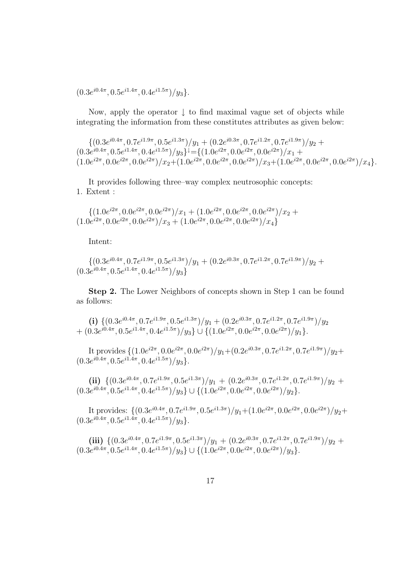$(0.3e^{i0.4\pi}, 0.5e^{i1.4\pi}, 0.4e^{i1.5\pi})/y_3\}.$ 

Now, apply the operator  $\downarrow$  to find maximal vague set of objects while integrating the information from these constitutes attributes as given below:

 $\{ (0.3e^{i0.4\pi}, 0.7e^{i1.9\pi}, 0.5e^{i1.3\pi})/y_1 + (0.2e^{i0.3\pi}, 0.7e^{i1.2\pi}, 0.7e^{i1.9\pi})/y_2 + (0.2e^{i0.3\pi}, 0.7e^{i1.9\pi})/y_3 + (0.2e^{i0.3\pi}, 0.7e^{i1.9\pi})/y_4 \}$  $(0.3e^{i0.4\pi}, 0.5e^{i1.4\pi}, 0.4e^{i1.5\pi})/y_3\}^{\downarrow} = \{(1.0e^{i2\pi}, 0.0e^{i2\pi}, 0.0e^{i2\pi})/x_1 +$  $(1.0e^{i2\pi}, 0.0e^{i2\pi}, 0.0e^{i2\pi})/x_2+(1.0e^{i2\pi}, 0.0e^{i2\pi}, 0.0e^{i2\pi})/x_3+(1.0e^{i2\pi}, 0.0e^{i2\pi}, 0.0e^{i2\pi})/x_4\}.$ 

It provides following three–way complex neutrosophic concepts: 1. Extent :

 $\{(1.0e^{i2\pi}, 0.0e^{i2\pi}, 0.0e^{i2\pi})/x_1 + (1.0e^{i2\pi}, 0.0e^{i2\pi}, 0.0e^{i2\pi})/x_2 +$  $(1.0e^{i2\pi}, 0.0e^{i2\pi}, 0.0e^{i2\pi})/x_3 + (1.0e^{i2\pi}, 0.0e^{i2\pi}, 0.0e^{i2\pi})/x_4\}$ 

Intent:

$$
\{(0.3e^{i0.4\pi}, 0.7e^{i1.9\pi}, 0.5e^{i1.3\pi})/y_1 + (0.2e^{i0.3\pi}, 0.7e^{i1.2\pi}, 0.7e^{i1.9\pi})/y_2 + (0.3e^{i0.4\pi}, 0.5e^{i1.4\pi}, 0.4e^{i1.5\pi})/y_3\}
$$

Step 2. The Lower Neighbors of concepts shown in Step 1 can be found as follows:

(i)  $\left\{ (0.3e^{i0.4\pi}, 0.7e^{i1.9\pi}, 0.5e^{i1.3\pi})/y_1 + (0.2e^{i0.3\pi}, 0.7e^{i1.2\pi}, 0.7e^{i1.9\pi})/y_2 \right\}$ +  $(0.3e^{i0.4\pi}, 0.5e^{i1.4\pi}, 0.4e^{i1.5\pi})/y_3\} \cup \{(1.0e^{i2\pi}, 0.0e^{i2\pi}, 0.0e^{i2\pi})/y_1\}.$ 

It provides  $\{(1.0e^{i2\pi}, 0.0e^{i2\pi}, 0.0e^{i2\pi})/y_1+(0.2e^{i0.3\pi}, 0.7e^{i1.2\pi}, 0.7e^{i1.9\pi})/y_2+\}$  $(0.3e^{i0.4\pi}, 0.5e^{i1.4\pi}, 0.4e^{i1.5\pi})/y_3\}.$ 

(ii) 
$$
\{(0.3e^{i0.4\pi}, 0.7e^{i1.9\pi}, 0.5e^{i1.3\pi})/y_1 + (0.2e^{i0.3\pi}, 0.7e^{i1.2\pi}, 0.7e^{i1.9\pi})/y_2 + (0.3e^{i0.4\pi}, 0.5e^{i1.4\pi}, 0.4e^{i1.5\pi})/y_3\} \cup \{(1.0e^{i2\pi}, 0.0e^{i2\pi}, 0.0e^{i2\pi})/y_2\}.
$$

It provides:  $\{(0.3e^{i0.4\pi}, 0.7e^{i1.9\pi}, 0.5e^{i1.3\pi})/y_1 + (1.0e^{i2\pi}, 0.0e^{i2\pi}, 0.0e^{i2\pi})/y_2 +$  $(0.3e^{i0.4\pi}, 0.5e^{i1.4\pi}, 0.4e^{i1.5\pi})/y_3\}.$ 

 $(iii)$   $\{(0.3e^{i0.4\pi}, 0.7e^{i1.9\pi}, 0.5e^{i1.3\pi})/y_1 + (0.2e^{i0.3\pi}, 0.7e^{i1.2\pi}, 0.7e^{i1.9\pi})/y_2 +$  $(0.3e^{i0.4\pi}, 0.5e^{i1.4\pi}, 0.4e^{i1.5\pi})/y_3\} \cup \{(1.0e^{i2\pi}, 0.0e^{i2\pi}, 0.0e^{i2\pi})/y_3\}.$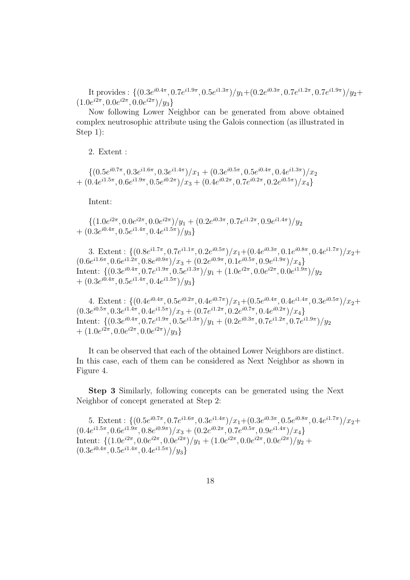It provides :  $\{(0.3e^{i0.4\pi}, 0.7e^{i1.9\pi}, 0.5e^{i1.3\pi})/y_1+(0.2e^{i0.3\pi}, 0.7e^{i1.2\pi}, 0.7e^{i1.9\pi})/y_2+\}$  $(1.0e^{i2\pi}, 0.0e^{i2\pi}, 0.0e^{i2\pi})/y_3\}$ 

Now following Lower Neighbor can be generated from above obtained complex neutrosophic attribute using the Galois connection (as illustrated in Step 1):

2. Extent :

 $\{(0.5e^{i0.7\pi}, 0.3e^{i1.6\pi}, 0.3e^{i1.4\pi})/x_1 + (0.3e^{i0.5\pi}, 0.5e^{i0.4\pi}, 0.4e^{i1.3\pi})/x_2\}$ +  $(0.4e^{i1.5\pi}, 0.6e^{i1.9\pi}, 0.5e^{i0.2\pi})/x_3 + (0.4e^{i0.2\pi}, 0.7e^{i0.2\pi}, 0.2e^{i0.5\pi})/x_4\}$ 

Intent:

 $\{(1.0e^{i2\pi}, 0.0e^{i2\pi}, 0.0e^{i2\pi})/y_1 + (0.2e^{i0.3\pi}, 0.7e^{i1.2\pi}, 0.9e^{i1.4\pi})/y_2\}$  $+ (0.3e^{i0.4\pi}, 0.5e^{i1.4\pi}, 0.4e^{i1.5\pi})/y_3\}$ 

3. Extent :  $\{(0.8e^{i1.7\pi}, 0.7e^{i1.1\pi}, 0.2e^{i0.5\pi})/x_1 + (0.4e^{i0.3\pi}, 0.1e^{i0.8\pi}, 0.4e^{i1.7\pi})/x_2 +$  $(0.6e^{i1.6\pi}, 0.6e^{i1.2\pi}, 0.8e^{i0.9\pi})/x_3 + (0.2e^{i0.9\pi}, 0.1e^{i0.5\pi}, 0.9e^{i1.9\pi})/x_4)$ Intent:  $\left\{ (0.3e^{i0.4\pi}, 0.7e^{i1.9\pi}, 0.5e^{i1.3\pi})/y_1 + (1.0e^{i2\pi}, 0.0e^{i2\pi}, 0.0e^{i1.9\pi})/y_2 \right\}$  $+ (0.3e^{i0.4\pi}, 0.5e^{i1.4\pi}, 0.4e^{i1.5\pi})/y_3\}$ 

4. Extent :  $\{(0.4e^{i0.4\pi}, 0.5e^{i0.2\pi}, 0.4e^{i0.7\pi})/x_1 + (0.5e^{i0.4\pi}, 0.4e^{i1.4\pi}, 0.3e^{i0.5\pi})/x_2 +$  $(0.3e^{i0.5\pi}, 0.3e^{i1.4\pi}, 0.4e^{i1.5\pi})/x_3 + (0.7e^{i1.2\pi}, 0.2e^{i0.7\pi}, 0.4e^{i0.2\pi})/x_4\}$ Intent:  $\frac{1}{3}(0.3e^{i0.4\pi}, 0.7e^{i1.9\pi}, 0.5e^{i1.3\pi})/y_1 + (0.2e^{i0.3\pi}, 0.7e^{i1.2\pi}, 0.7e^{i1.9\pi})/y_2$  $+ (1.0e^{i2\pi}, 0.0e^{i2\pi}, 0.0e^{i2\pi})/y_3\}$ 

It can be observed that each of the obtained Lower Neighbors are distinct. In this case, each of them can be considered as Next Neighbor as shown in Figure 4.

Step 3 Similarly, following concepts can be generated using the Next Neighbor of concept generated at Step 2:

5. Extent :  $\{(0.5e^{i0.7\pi}, 0.7e^{i1.6\pi}, 0.3e^{i1.4\pi})/x_1 + (0.3e^{i0.3\pi}, 0.5e^{i0.8\pi}, 0.4e^{i1.7\pi})/x_2 +$  $(0.4e^{i1.5\pi}, 0.6e^{i1.9\pi}, 0.8e^{i0.9\pi})/x_3 + (0.2e^{i0.2\pi}, 0.7e^{i0.5\pi}, 0.9e^{i1.4\pi})/x_4\}$ Intent:  $\{(1.0e^{i2\pi}, 0.0e^{i2\pi}, 0.0e^{i2\pi})/y_1 + (1.0e^{i2\pi}, 0.0e^{i2\pi}, 0.0e^{i2\pi})/y_2 +$  $(0.3e^{i0.4\pi}, 0.5e^{i1.4\pi}, 0.4e^{i1.5\pi})/y_3\}$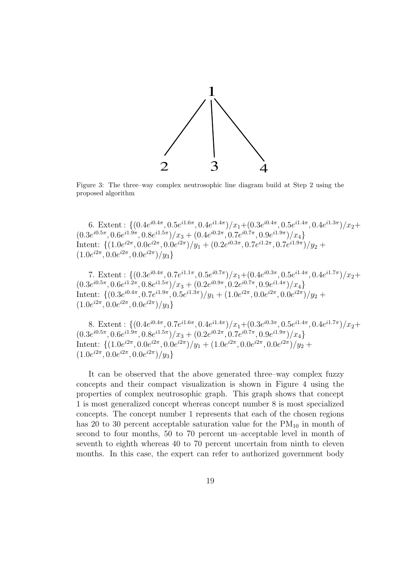

Figure 3: The three–way complex neutrosophic line diagram build at Step 2 using the proposed algorithm

6. Extent :  $\{(0.4e^{i0.4\pi}, 0.5e^{i1.6\pi}, 0.4e^{i1.4\pi})/x_1 + (0.3e^{i0.4\pi}, 0.5e^{i1.4\pi}, 0.4e^{i1.3\pi})/x_2 +$  $(0.3e^{i0.5\pi}, 0.6e^{i1.9\pi}, 0.8e^{i1.5\pi})/x_3 + (0.4e^{i0.2\pi}, 0.7e^{i0.7\pi}, 0.9e^{i1.9\pi})/x_4\}$ Intent:  $\{(1.0e^{i2\pi}, 0.0e^{i2\pi}, 0.0e^{i2\pi})/y_1 + (0.2e^{i0.3\pi}, 0.7e^{i1.2\pi}, 0.7e^{i1.9\pi})/y_2 +$  $(1.0e^{i2\pi}, 0.0e^{i2\pi}, 0.0e^{i2\pi})/y_3\}$ 

7. Extent :  $\{(0.3e^{i0.4\pi}, 0.7e^{i1.1\pi}, 0.5e^{i0.7\pi})/x_1 + (0.4e^{i0.3\pi}, 0.5e^{i1.4\pi}, 0.4e^{i1.7\pi})/x_2 +$  $(0.3e^{i0.5\pi}, 0.6e^{i1.2\pi}, 0.8e^{i1.5\pi})/x_3 + (0.2e^{i0.9\pi}, 0.2e^{i0.7\pi}, 0.9e^{i1.4\pi})/x_4\}$ Intent:  $\{(0.3e^{i0.4\pi}, 0.7e^{i1.9\pi}, 0.5e^{i1.3\pi})/y_1 + (1.0e^{i2\pi}, 0.0e^{i2\pi}, 0.0e^{i2\pi})/y_2 +$  $(1.0e^{i2\pi}, 0.0e^{i2\pi}, 0.0e^{i2\pi})/y_3\}$ 

8. Extent :  $\{(0.4e^{i0.4\pi}, 0.7e^{i1.6\pi}, 0.4e^{i1.4\pi})/x_1 + (0.3e^{i0.3\pi}, 0.5e^{i1.4\pi}, 0.4e^{i1.7\pi})/x_2 +$  $(0.3e^{i0.5\pi}, 0.6e^{i1.9\pi}, 0.8e^{i1.5\pi})/x_3 + (0.2e^{i0.2\pi}, 0.7e^{i0.7\pi}, 0.9e^{i1.9\pi})/x_4\}$ Intent:  $\{(1.0e^{i2\pi}, 0.0e^{i2\pi}, 0.0e^{i2\pi})/y_1 + (1.0e^{i2\pi}, 0.0e^{i2\pi}, 0.0e^{i2\pi})/y_2 +$  $(1.0e^{i2\pi}, 0.0e^{i2\pi}, 0.0e^{i2\pi})/y_3\}$ 

It can be observed that the above generated three–way complex fuzzy concepts and their compact visualization is shown in Figure 4 using the properties of complex neutrosophic graph. This graph shows that concept 1 is most generalized concept whereas concept number 8 is most specialized concepts. The concept number 1 represents that each of the chosen regions has 20 to 30 percent acceptable saturation value for the  $PM_{10}$  in month of second to four months, 50 to 70 percent un–acceptable level in month of seventh to eighth whereas 40 to 70 percent uncertain from ninth to eleven months. In this case, the expert can refer to authorized government body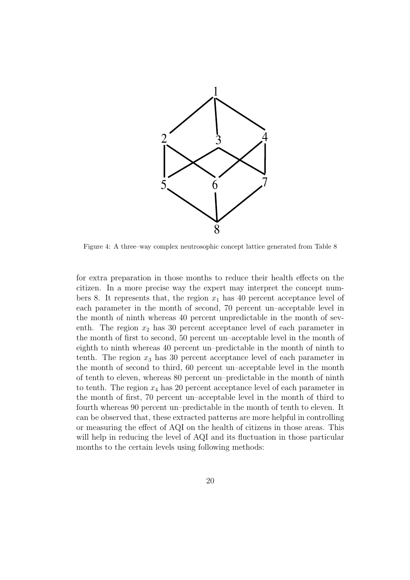

Figure 4: A three–way complex neutrosophic concept lattice generated from Table 8

for extra preparation in those months to reduce their health effects on the citizen. In a more precise way the expert may interpret the concept numbers 8. It represents that, the region  $x_1$  has 40 percent acceptance level of each parameter in the month of second, 70 percent un–acceptable level in the month of ninth whereas 40 percent unpredictable in the month of seventh. The region  $x_2$  has 30 percent acceptance level of each parameter in the month of first to second, 50 percent un–acceptable level in the month of eighth to ninth whereas 40 percent un–predictable in the month of ninth to tenth. The region  $x_3$  has 30 percent acceptance level of each parameter in the month of second to third, 60 percent un–acceptable level in the month of tenth to eleven, whereas 80 percent un–predictable in the month of ninth to tenth. The region  $x_4$  has 20 percent acceptance level of each parameter in the month of first, 70 percent un–acceptable level in the month of third to fourth whereas 90 percent un–predictable in the month of tenth to eleven. It can be observed that, these extracted patterns are more helpful in controlling or measuring the effect of AQI on the health of citizens in those areas. This will help in reducing the level of AQI and its fluctuation in those particular months to the certain levels using following methods: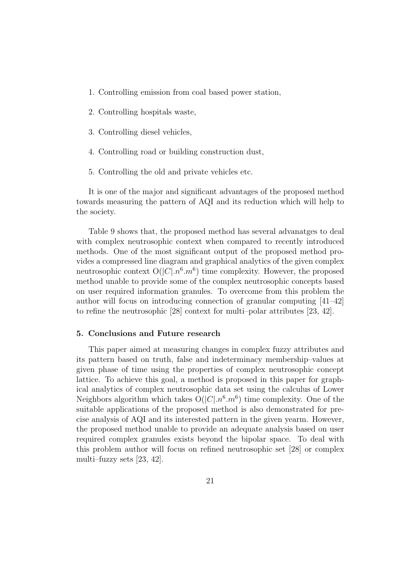- 1. Controlling emission from coal based power station,
- 2. Controlling hospitals waste,
- 3. Controlling diesel vehicles,
- 4. Controlling road or building construction dust,
- 5. Controlling the old and private vehicles etc.

It is one of the major and significant advantages of the proposed method towards measuring the pattern of AQI and its reduction which will help to the society.

Table 9 shows that, the proposed method has several advanatges to deal with complex neutrosophic context when compared to recently introduced methods. One of the most significant output of the proposed method provides a compressed line diagram and graphical analytics of the given complex neutrosophic context  $O(|C| \cdot n^6 \cdot m^6)$  time complexity. However, the proposed method unable to provide some of the complex neutrosophic concepts based on user required information granules. To overcome from this problem the author will focus on introducing connection of granular computing [41–42] to refine the neutrosophic [28] context for multi–polar attributes [23, 42].

## 5. Conclusions and Future research

This paper aimed at measuring changes in complex fuzzy attributes and its pattern based on truth, false and indeterminacy membership–values at given phase of time using the properties of complex neutrosophic concept lattice. To achieve this goal, a method is proposed in this paper for graphical analytics of complex neutrosophic data set using the calculus of Lower Neighbors algorithm which takes  $O(|C| \cdot n^6 \cdot m^6)$  time complexity. One of the suitable applications of the proposed method is also demonstrated for precise analysis of AQI and its interested pattern in the given yearm. However, the proposed method unable to provide an adequate analysis based on user required complex granules exists beyond the bipolar space. To deal with this problem author will focus on refined neutrosophic set [28] or complex multi–fuzzy sets [23, 42].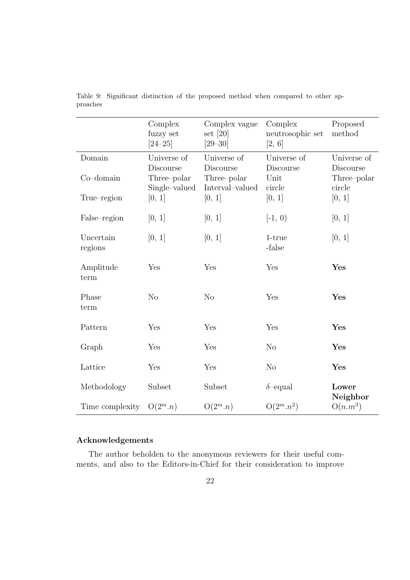|                 | Complex<br>fuzzy set<br>$[24 - 25]$ | Complex vague<br>set $[20]$<br>$[29-30]$ | Complex<br>neutrosophic set<br>[2, 6] | Proposed<br>method       |
|-----------------|-------------------------------------|------------------------------------------|---------------------------------------|--------------------------|
| Domain          | Universe of                         | Universe of                              | Universe of                           | Universe of              |
| $Co$ -domain    | Discourse<br>Three-polar            | Discourse<br>Three-polar                 | Discourse<br>Unit                     | Discourse<br>Three-polar |
|                 | Single-valued                       | Interval-valued                          | circle                                | circle                   |
| True-region     | [0, 1]                              | [0, 1]                                   | [0, 1]                                | [0, 1]                   |
| False-region    | [0, 1]                              | [0, 1]                                   | $[-1, 0)$                             | [0, 1]                   |
| Uncertain       | [0, 1]                              | [0, 1]                                   | 1-true                                | [0, 1]                   |
| regions         |                                     |                                          | -false                                |                          |
| Amplitude       | Yes                                 | Yes                                      | Yes                                   | Yes                      |
| term            |                                     |                                          |                                       |                          |
| Phase           | No                                  | N <sub>o</sub>                           | Yes                                   | Yes                      |
| term            |                                     |                                          |                                       |                          |
| Pattern         | Yes                                 | Yes                                      | Yes                                   | Yes                      |
| Graph           | Yes                                 | Yes                                      | N <sub>o</sub>                        | Yes                      |
| Lattice         | Yes                                 | Yes                                      | N <sub>o</sub>                        | Yes                      |
|                 |                                     |                                          |                                       |                          |
| Methodology     | Subset                              | Subset                                   | $\delta$ -equal                       | Lower<br>Neighbor        |
| Time complexity | $O(2^m.n)$                          | $O(2^m.n)$                               | $O(2^m.n^2)$                          | $O(n.m^3)$               |

Table 9: Significant distinction of the proposed method when compared to other approaches

## Acknowledgements

The author beholden to the anonymous reviewers for their useful comments, and also to the Editors-in-Chief for their consideration to improve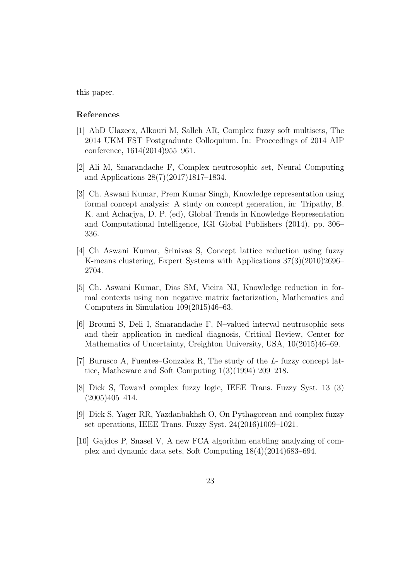this paper.

## References

- [1] AbD Ulazeez, Alkouri M, Salleh AR, Complex fuzzy soft multisets, The 2014 UKM FST Postgraduate Colloquium. In: Proceedings of 2014 AIP conference, 1614(2014)955–961.
- [2] Ali M, Smarandache F, Complex neutrosophic set, Neural Computing and Applications 28(7)(2017)1817–1834.
- [3] Ch. Aswani Kumar, Prem Kumar Singh, Knowledge representation using formal concept analysis: A study on concept generation, in: Tripathy, B. K. and Acharjya, D. P. (ed), Global Trends in Knowledge Representation and Computational Intelligence, IGI Global Publishers (2014), pp. 306– 336.
- [4] Ch Aswani Kumar, Srinivas S, Concept lattice reduction using fuzzy K-means clustering, Expert Systems with Applications 37(3)(2010)2696– 2704.
- [5] Ch. Aswani Kumar, Dias SM, Vieira NJ, Knowledge reduction in formal contexts using non–negative matrix factorization, Mathematics and Computers in Simulation 109(2015)46–63.
- [6] Broumi S, Deli I, Smarandache F, N–valued interval neutrosophic sets and their application in medical diagnosis, Critical Review, Center for Mathematics of Uncertainty, Creighton University, USA, 10(2015)46–69.
- [7] Burusco A, Fuentes–Gonzalez R, The study of the L- fuzzy concept lattice, Matheware and Soft Computing 1(3)(1994) 209–218.
- [8] Dick S, Toward complex fuzzy logic, IEEE Trans. Fuzzy Syst. 13 (3)  $(2005)405 - 414.$
- [9] Dick S, Yager RR, Yazdanbakhsh O, On Pythagorean and complex fuzzy set operations, IEEE Trans. Fuzzy Syst. 24(2016)1009–1021.
- [10] Gajdos P, Snasel V, A new FCA algorithm enabling analyzing of complex and dynamic data sets, Soft Computing 18(4)(2014)683–694.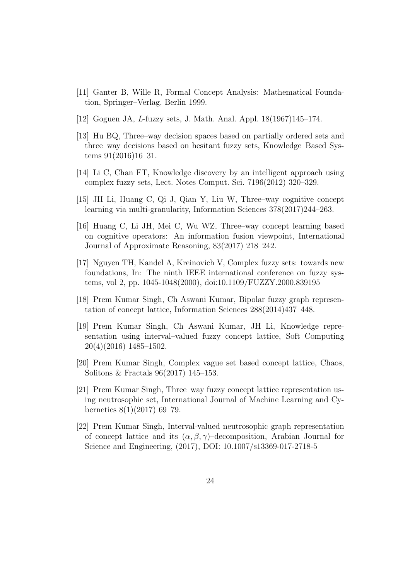- [11] Ganter B, Wille R, Formal Concept Analysis: Mathematical Foundation, Springer–Verlag, Berlin 1999.
- [12] Goguen JA, L-fuzzy sets, J. Math. Anal. Appl. 18(1967)145–174.
- [13] Hu BQ, Three–way decision spaces based on partially ordered sets and three–way decisions based on hesitant fuzzy sets, Knowledge–Based Systems  $91(2016)16-31$ .
- [14] Li C, Chan FT, Knowledge discovery by an intelligent approach using complex fuzzy sets, Lect. Notes Comput. Sci. 7196(2012) 320–329.
- [15] JH Li, Huang C, Qi J, Qian Y, Liu W, Three–way cognitive concept learning via multi-granularity, Information Sciences 378(2017)244–263.
- [16] Huang C, Li JH, Mei C, Wu WZ, Three–way concept learning based on cognitive operators: An information fusion viewpoint, International Journal of Approximate Reasoning, 83(2017) 218–242.
- [17] Nguyen TH, Kandel A, Kreinovich V, Complex fuzzy sets: towards new foundations, In: The ninth IEEE international conference on fuzzy systems, vol 2, pp. 1045-1048(2000), doi:10.1109/FUZZY.2000.839195
- [18] Prem Kumar Singh, Ch Aswani Kumar, Bipolar fuzzy graph representation of concept lattice, Information Sciences 288(2014)437–448.
- [19] Prem Kumar Singh, Ch Aswani Kumar, JH Li, Knowledge representation using interval–valued fuzzy concept lattice, Soft Computing 20(4)(2016) 1485–1502.
- [20] Prem Kumar Singh, Complex vague set based concept lattice, Chaos, Solitons & Fractals 96(2017) 145–153.
- [21] Prem Kumar Singh, Three–way fuzzy concept lattice representation using neutrosophic set, International Journal of Machine Learning and Cybernetics 8(1)(2017) 69–79.
- [22] Prem Kumar Singh, Interval-valued neutrosophic graph representation of concept lattice and its  $(\alpha, \beta, \gamma)$ –decomposition, Arabian Journal for Science and Engineering, (2017), DOI: 10.1007/s13369-017-2718-5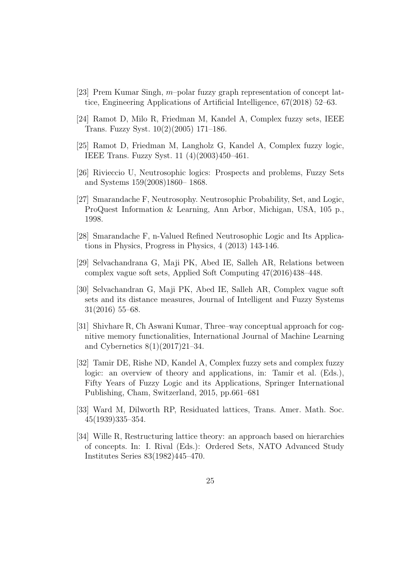- [23] Prem Kumar Singh, m–polar fuzzy graph representation of concept lattice, Engineering Applications of Artificial Intelligence, 67(2018) 52–63.
- [24] Ramot D, Milo R, Friedman M, Kandel A, Complex fuzzy sets, IEEE Trans. Fuzzy Syst. 10(2)(2005) 171–186.
- [25] Ramot D, Friedman M, Langholz G, Kandel A, Complex fuzzy logic, IEEE Trans. Fuzzy Syst. 11 (4)(2003)450–461.
- [26] Rivieccio U, Neutrosophic logics: Prospects and problems, Fuzzy Sets and Systems 159(2008)1860– 1868.
- [27] Smarandache F, Neutrosophy. Neutrosophic Probability, Set, and Logic, ProQuest Information & Learning, Ann Arbor, Michigan, USA, 105 p., 1998.
- [28] Smarandache F, n-Valued Refined Neutrosophic Logic and Its Applications in Physics, Progress in Physics, 4 (2013) 143-146.
- [29] Selvachandrana G, Maji PK, Abed IE, Salleh AR, Relations between complex vague soft sets, Applied Soft Computing 47(2016)438–448.
- [30] Selvachandran G, Maji PK, Abed IE, Salleh AR, Complex vague soft sets and its distance measures, Journal of Intelligent and Fuzzy Systems 31(2016) 55–68.
- [31] Shivhare R, Ch Aswani Kumar, Three–way conceptual approach for cognitive memory functionalities, International Journal of Machine Learning and Cybernetics 8(1)(2017)21–34.
- [32] Tamir DE, Rishe ND, Kandel A, Complex fuzzy sets and complex fuzzy logic: an overview of theory and applications, in: Tamir et al. (Eds.), Fifty Years of Fuzzy Logic and its Applications, Springer International Publishing, Cham, Switzerland, 2015, pp.661–681
- [33] Ward M, Dilworth RP, Residuated lattices, Trans. Amer. Math. Soc. 45(1939)335–354.
- [34] Wille R, Restructuring lattice theory: an approach based on hierarchies of concepts. In: I. Rival (Eds.): Ordered Sets, NATO Advanced Study Institutes Series 83(1982)445–470.